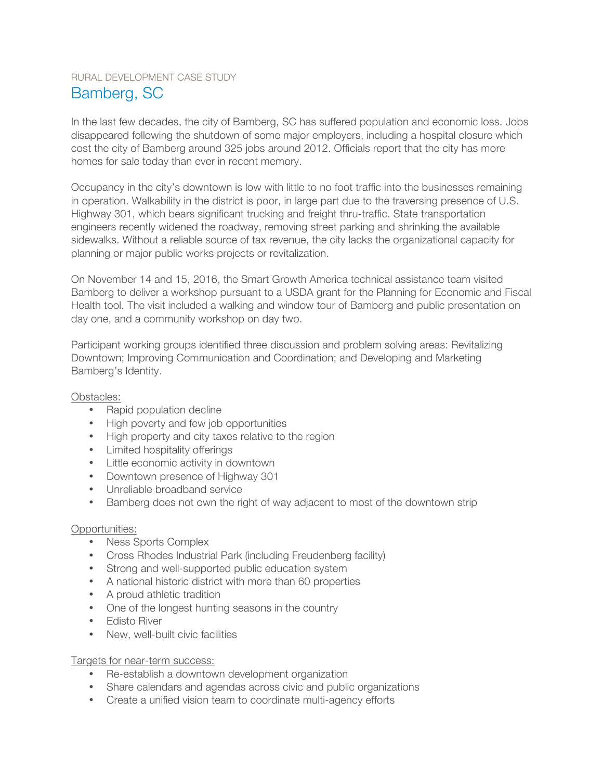# RURAL DEVELOPMENT CASE STUDY Bamberg, SC

In the last few decades, the city of Bamberg, SC has suffered population and economic loss. Jobs disappeared following the shutdown of some major employers, including a hospital closure which cost the city of Bamberg around 325 jobs around 2012. Officials report that the city has more homes for sale today than ever in recent memory.

Occupancy in the city's downtown is low with little to no foot traffic into the businesses remaining in operation. Walkability in the district is poor, in large part due to the traversing presence of U.S. Highway 301, which bears significant trucking and freight thru-traffic. State transportation engineers recently widened the roadway, removing street parking and shrinking the available sidewalks. Without a reliable source of tax revenue, the city lacks the organizational capacity for planning or major public works projects or revitalization.

On November 14 and 15, 2016, the Smart Growth America technical assistance team visited Bamberg to deliver a workshop pursuant to a USDA grant for the Planning for Economic and Fiscal Health tool. The visit included a walking and window tour of Bamberg and public presentation on day one, and a community workshop on day two.

Participant working groups identified three discussion and problem solving areas: Revitalizing Downtown; Improving Communication and Coordination; and Developing and Marketing Bamberg's Identity.

Obstacles:

- Rapid population decline
- High poverty and few job opportunities
- High property and city taxes relative to the region
- Limited hospitality offerings
- Little economic activity in downtown
- Downtown presence of Highway 301
- Unreliable broadband service
- Bamberg does not own the right of way adjacent to most of the downtown strip

## Opportunities:

- Ness Sports Complex
- Cross Rhodes Industrial Park (including Freudenberg facility)
- Strong and well-supported public education system
- A national historic district with more than 60 properties
- A proud athletic tradition
- One of the longest hunting seasons in the country
- Edisto River
- New, well-built civic facilities

Targets for near-term success:

- Re-establish a downtown development organization
- Share calendars and agendas across civic and public organizations
- Create a unified vision team to coordinate multi-agency efforts